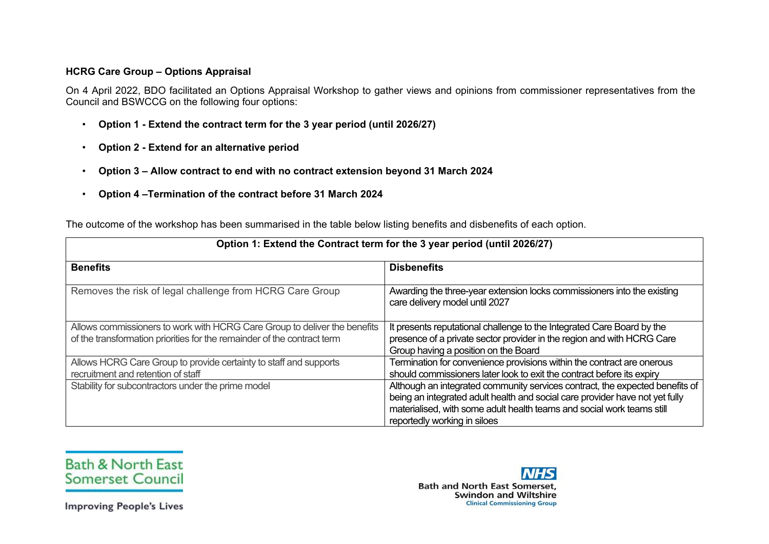## **HCRG Care Group – Options Appraisal**

On 4 April 2022, BDO facilitated an Options Appraisal Workshop to gather views and opinions from commissioner representatives from the Council and BSWCCG on the following four options:

- **Option 1 - Extend the contract term for the 3 year period (until 2026/27)**
- **Option 2 - Extend for an alternative period**
- **Option 3 – Allow contract to end with no contract extension beyond 31 March 2024**
- **Option 4 –Termination of the contract before 31 March 2024**

The outcome of the workshop has been summarised in the table below listing benefits and disbenefits of each option.

| Option 1: Extend the Contract term for the 3 year period (until 2026/27)                                                                             |                                                                                                                                                                                                                                                                        |
|------------------------------------------------------------------------------------------------------------------------------------------------------|------------------------------------------------------------------------------------------------------------------------------------------------------------------------------------------------------------------------------------------------------------------------|
| <b>Benefits</b>                                                                                                                                      | <b>Disbenefits</b>                                                                                                                                                                                                                                                     |
| Removes the risk of legal challenge from HCRG Care Group                                                                                             | Awarding the three-year extension locks commissioners into the existing<br>care delivery model until 2027                                                                                                                                                              |
| Allows commissioners to work with HCRG Care Group to deliver the benefits<br>of the transformation priorities for the remainder of the contract term | It presents reputational challenge to the Integrated Care Board by the<br>presence of a private sector provider in the region and with HCRG Care<br>Group having a position on the Board                                                                               |
| Allows HCRG Care Group to provide certainty to staff and supports<br>recruitment and retention of staff                                              | Termination for convenience provisions within the contract are onerous<br>should commissioners later look to exit the contract before its expiry                                                                                                                       |
| Stability for subcontractors under the prime model                                                                                                   | Although an integrated community services contract, the expected benefits of<br>being an integrated adult health and social care provider have not yet fully<br>materialised, with some adult health teams and social work teams still<br>reportedly working in siloes |



**Bath & North Fast Somerset Council** 

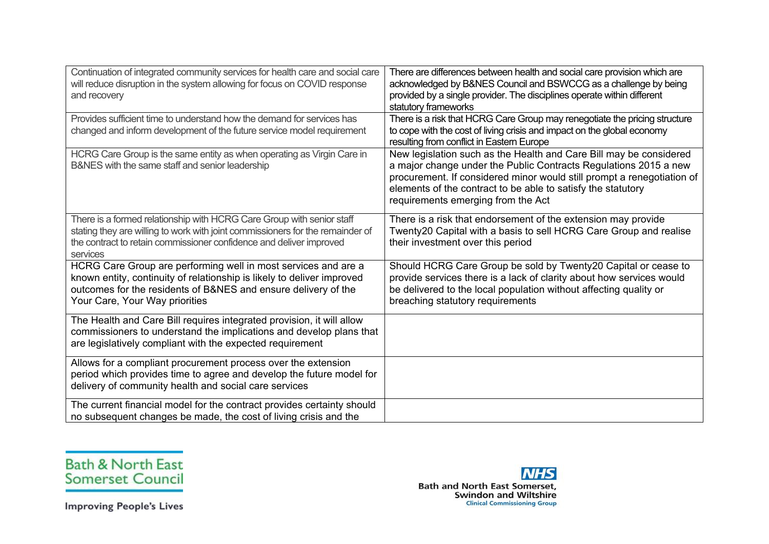| Continuation of integrated community services for health care and social care<br>will reduce disruption in the system allowing for focus on COVID response<br>and recovery                                                                   | There are differences between health and social care provision which are<br>acknowledged by B&NES Council and BSWCCG as a challenge by being<br>provided by a single provider. The disciplines operate within different<br>statutory frameworks                                                                        |
|----------------------------------------------------------------------------------------------------------------------------------------------------------------------------------------------------------------------------------------------|------------------------------------------------------------------------------------------------------------------------------------------------------------------------------------------------------------------------------------------------------------------------------------------------------------------------|
| Provides sufficient time to understand how the demand for services has<br>changed and inform development of the future service model requirement                                                                                             | There is a risk that HCRG Care Group may renegotiate the pricing structure<br>to cope with the cost of living crisis and impact on the global economy<br>resulting from conflict in Eastern Europe                                                                                                                     |
| HCRG Care Group is the same entity as when operating as Virgin Care in<br>B&NES with the same staff and senior leadership                                                                                                                    | New legislation such as the Health and Care Bill may be considered<br>a major change under the Public Contracts Regulations 2015 a new<br>procurement. If considered minor would still prompt a renegotiation of<br>elements of the contract to be able to satisfy the statutory<br>requirements emerging from the Act |
| There is a formed relationship with HCRG Care Group with senior staff<br>stating they are willing to work with joint commissioners for the remainder of<br>the contract to retain commissioner confidence and deliver improved<br>services   | There is a risk that endorsement of the extension may provide<br>Twenty20 Capital with a basis to sell HCRG Care Group and realise<br>their investment over this period                                                                                                                                                |
| HCRG Care Group are performing well in most services and are a<br>known entity, continuity of relationship is likely to deliver improved<br>outcomes for the residents of B&NES and ensure delivery of the<br>Your Care, Your Way priorities | Should HCRG Care Group be sold by Twenty20 Capital or cease to<br>provide services there is a lack of clarity about how services would<br>be delivered to the local population without affecting quality or<br>breaching statutory requirements                                                                        |
| The Health and Care Bill requires integrated provision, it will allow<br>commissioners to understand the implications and develop plans that<br>are legislatively compliant with the expected requirement                                    |                                                                                                                                                                                                                                                                                                                        |
| Allows for a compliant procurement process over the extension<br>period which provides time to agree and develop the future model for<br>delivery of community health and social care services                                               |                                                                                                                                                                                                                                                                                                                        |
| The current financial model for the contract provides certainty should<br>no subsequent changes be made, the cost of living crisis and the                                                                                                   |                                                                                                                                                                                                                                                                                                                        |



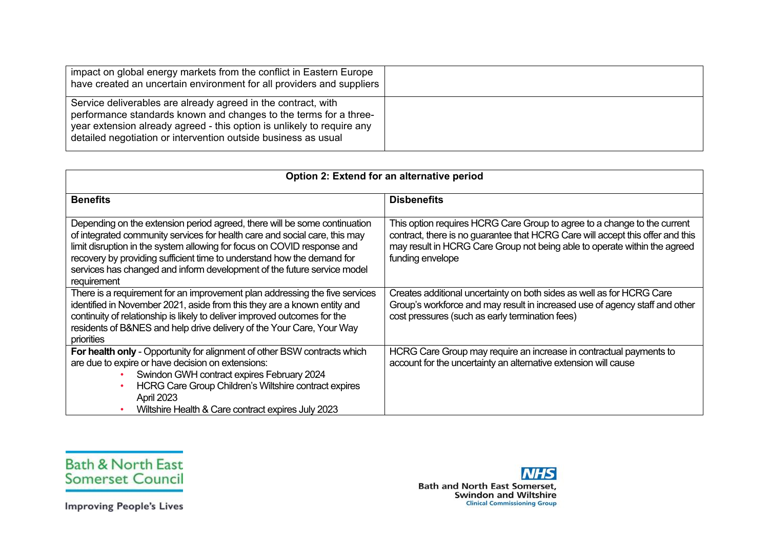| impact on global energy markets from the conflict in Eastern Europe<br>have created an uncertain environment for all providers and suppliers                                                                                                                                   |  |
|--------------------------------------------------------------------------------------------------------------------------------------------------------------------------------------------------------------------------------------------------------------------------------|--|
| Service deliverables are already agreed in the contract, with<br>performance standards known and changes to the terms for a three-<br>year extension already agreed - this option is unlikely to require any<br>detailed negotiation or intervention outside business as usual |  |

| Option 2: Extend for an alternative period                                                                                                                                                                                                                                                                                                                                                             |                                                                                                                                                                                                                                                             |
|--------------------------------------------------------------------------------------------------------------------------------------------------------------------------------------------------------------------------------------------------------------------------------------------------------------------------------------------------------------------------------------------------------|-------------------------------------------------------------------------------------------------------------------------------------------------------------------------------------------------------------------------------------------------------------|
| <b>Benefits</b>                                                                                                                                                                                                                                                                                                                                                                                        | <b>Disbenefits</b>                                                                                                                                                                                                                                          |
| Depending on the extension period agreed, there will be some continuation<br>of integrated community services for health care and social care, this may<br>limit disruption in the system allowing for focus on COVID response and<br>recovery by providing sufficient time to understand how the demand for<br>services has changed and inform development of the future service model<br>requirement | This option requires HCRG Care Group to agree to a change to the current<br>contract, there is no guarantee that HCRG Care will accept this offer and this<br>may result in HCRG Care Group not being able to operate within the agreed<br>funding envelope |
| There is a requirement for an improvement plan addressing the five services<br>identified in November 2021, aside from this they are a known entity and<br>continuity of relationship is likely to deliver improved outcomes for the<br>residents of B&NES and help drive delivery of the Your Care, Your Way<br>priorities                                                                            | Creates additional uncertainty on both sides as well as for HCRG Care<br>Group's workforce and may result in increased use of agency staff and other<br>cost pressures (such as early termination fees)                                                     |
| For health only - Opportunity for alignment of other BSW contracts which<br>are due to expire or have decision on extensions:<br>Swindon GWH contract expires February 2024<br>HCRG Care Group Children's Wiltshire contract expires<br>April 2023<br>Wiltshire Health & Care contract expires July 2023                                                                                               | HCRG Care Group may require an increase in contractual payments to<br>account for the uncertainty an alternative extension will cause                                                                                                                       |



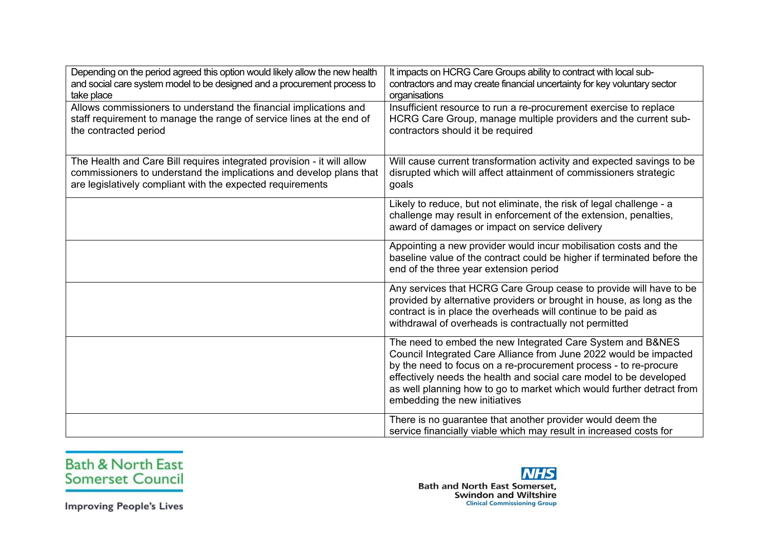| Depending on the period agreed this option would likely allow the new health<br>and social care system model to be designed and a procurement process to<br>take place                                      | It impacts on HCRG Care Groups ability to contract with local sub-<br>contractors and may create financial uncertainty for key voluntary sector<br>organisations                                                                                                                                                                                                                    |
|-------------------------------------------------------------------------------------------------------------------------------------------------------------------------------------------------------------|-------------------------------------------------------------------------------------------------------------------------------------------------------------------------------------------------------------------------------------------------------------------------------------------------------------------------------------------------------------------------------------|
| Allows commissioners to understand the financial implications and<br>staff requirement to manage the range of service lines at the end of<br>the contracted period                                          | Insufficient resource to run a re-procurement exercise to replace<br>HCRG Care Group, manage multiple providers and the current sub-<br>contractors should it be required                                                                                                                                                                                                           |
| The Health and Care Bill requires integrated provision - it will allow<br>commissioners to understand the implications and develop plans that<br>are legislatively compliant with the expected requirements | Will cause current transformation activity and expected savings to be<br>disrupted which will affect attainment of commissioners strategic<br>goals                                                                                                                                                                                                                                 |
|                                                                                                                                                                                                             | Likely to reduce, but not eliminate, the risk of legal challenge - a<br>challenge may result in enforcement of the extension, penalties,<br>award of damages or impact on service delivery                                                                                                                                                                                          |
|                                                                                                                                                                                                             | Appointing a new provider would incur mobilisation costs and the<br>baseline value of the contract could be higher if terminated before the<br>end of the three year extension period                                                                                                                                                                                               |
|                                                                                                                                                                                                             | Any services that HCRG Care Group cease to provide will have to be<br>provided by alternative providers or brought in house, as long as the<br>contract is in place the overheads will continue to be paid as<br>withdrawal of overheads is contractually not permitted                                                                                                             |
|                                                                                                                                                                                                             | The need to embed the new Integrated Care System and B&NES<br>Council Integrated Care Alliance from June 2022 would be impacted<br>by the need to focus on a re-procurement process - to re-procure<br>effectively needs the health and social care model to be developed<br>as well planning how to go to market which would further detract from<br>embedding the new initiatives |
|                                                                                                                                                                                                             | There is no guarantee that another provider would deem the<br>service financially viable which may result in increased costs for                                                                                                                                                                                                                                                    |



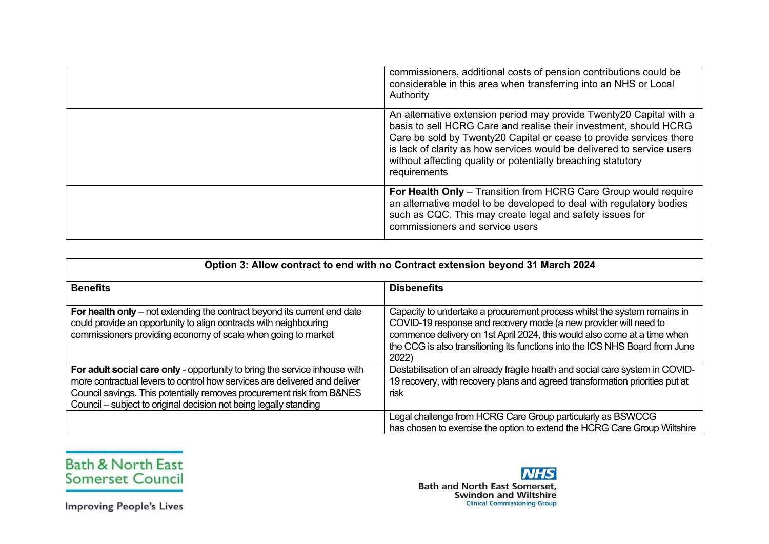| commissioners, additional costs of pension contributions could be<br>considerable in this area when transferring into an NHS or Local<br>Authority                                                                                                                                                                                                                        |
|---------------------------------------------------------------------------------------------------------------------------------------------------------------------------------------------------------------------------------------------------------------------------------------------------------------------------------------------------------------------------|
| An alternative extension period may provide Twenty20 Capital with a<br>basis to sell HCRG Care and realise their investment, should HCRG<br>Care be sold by Twenty20 Capital or cease to provide services there<br>is lack of clarity as how services would be delivered to service users<br>without affecting quality or potentially breaching statutory<br>requirements |
| For Health Only - Transition from HCRG Care Group would require<br>an alternative model to be developed to deal with regulatory bodies<br>such as CQC. This may create legal and safety issues for<br>commissioners and service users                                                                                                                                     |

| Option 3: Allow contract to end with no Contract extension beyond 31 March 2024                                                                                                                                                                                                                       |                                                                                                                                                                                                                                                                                                                   |
|-------------------------------------------------------------------------------------------------------------------------------------------------------------------------------------------------------------------------------------------------------------------------------------------------------|-------------------------------------------------------------------------------------------------------------------------------------------------------------------------------------------------------------------------------------------------------------------------------------------------------------------|
| <b>Benefits</b>                                                                                                                                                                                                                                                                                       | <b>Disbenefits</b>                                                                                                                                                                                                                                                                                                |
| For health only – not extending the contract beyond its current end date<br>could provide an opportunity to align contracts with neighbouring<br>commissioners providing economy of scale when going to market                                                                                        | Capacity to undertake a procurement process whilst the system remains in<br>COVID-19 response and recovery mode (a new provider will need to<br>commence delivery on 1st April 2024, this would also come at a time when<br>the CCG is also transitioning its functions into the ICS NHS Board from June<br>2022) |
| For adult social care only - opportunity to bring the service inhouse with<br>more contractual levers to control how services are delivered and deliver<br>Council savings. This potentially removes procurement risk from B&NES<br>Council – subject to original decision not being legally standing | Destabilisation of an already fragile health and social care system in COVID-<br>19 recovery, with recovery plans and agreed transformation priorities put at<br>risk                                                                                                                                             |
|                                                                                                                                                                                                                                                                                                       | Legal challenge from HCRG Care Group particularly as BSWCCG<br>has chosen to exercise the option to extend the HCRG Care Group Wiltshire                                                                                                                                                                          |



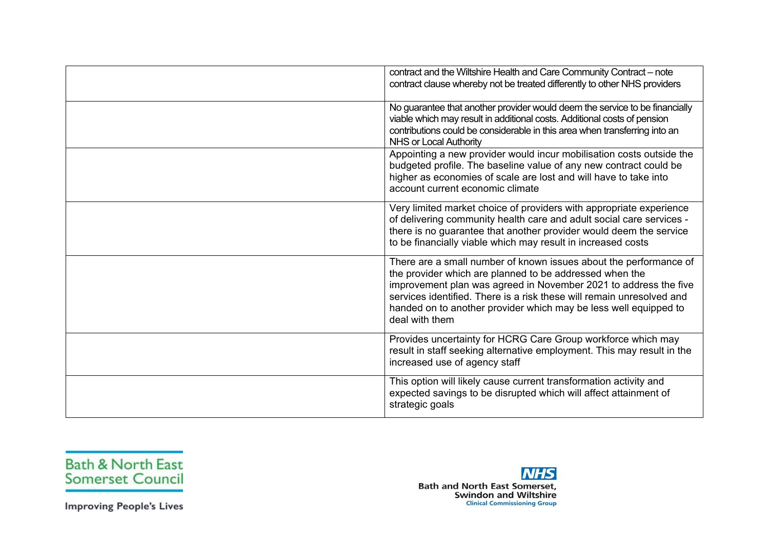| contract and the Wiltshire Health and Care Community Contract - note<br>contract clause whereby not be treated differently to other NHS providers                                                                                                                                                                                                               |
|-----------------------------------------------------------------------------------------------------------------------------------------------------------------------------------------------------------------------------------------------------------------------------------------------------------------------------------------------------------------|
| No guarantee that another provider would deem the service to be financially<br>viable which may result in additional costs. Additional costs of pension<br>contributions could be considerable in this area when transferring into an<br><b>NHS or Local Authority</b>                                                                                          |
| Appointing a new provider would incur mobilisation costs outside the<br>budgeted profile. The baseline value of any new contract could be<br>higher as economies of scale are lost and will have to take into<br>account current economic climate                                                                                                               |
| Very limited market choice of providers with appropriate experience<br>of delivering community health care and adult social care services -<br>there is no guarantee that another provider would deem the service<br>to be financially viable which may result in increased costs                                                                               |
| There are a small number of known issues about the performance of<br>the provider which are planned to be addressed when the<br>improvement plan was agreed in November 2021 to address the five<br>services identified. There is a risk these will remain unresolved and<br>handed on to another provider which may be less well equipped to<br>deal with them |
| Provides uncertainty for HCRG Care Group workforce which may<br>result in staff seeking alternative employment. This may result in the<br>increased use of agency staff                                                                                                                                                                                         |
| This option will likely cause current transformation activity and<br>expected savings to be disrupted which will affect attainment of<br>strategic goals                                                                                                                                                                                                        |



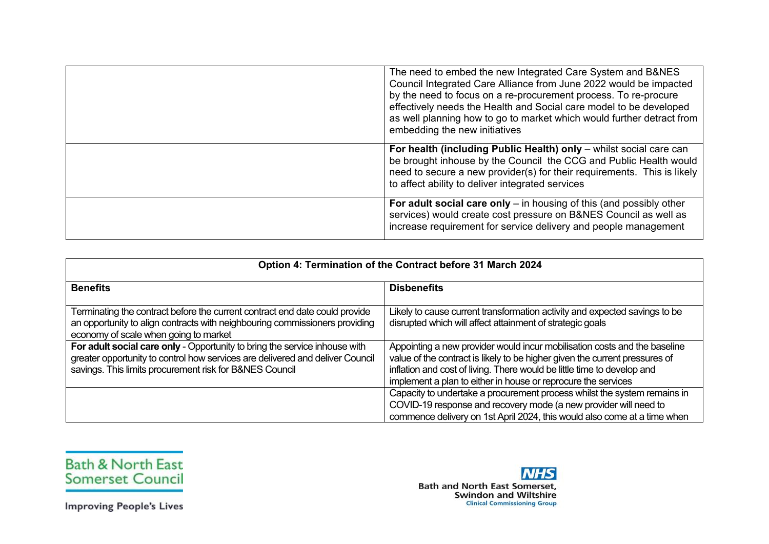| The need to embed the new Integrated Care System and B&NES<br>Council Integrated Care Alliance from June 2022 would be impacted<br>by the need to focus on a re-procurement process. To re-procure<br>effectively needs the Health and Social care model to be developed<br>as well planning how to go to market which would further detract from<br>embedding the new initiatives |
|------------------------------------------------------------------------------------------------------------------------------------------------------------------------------------------------------------------------------------------------------------------------------------------------------------------------------------------------------------------------------------|
| For health (including Public Health) only - whilst social care can<br>be brought inhouse by the Council the CCG and Public Health would<br>need to secure a new provider(s) for their requirements. This is likely<br>to affect ability to deliver integrated services                                                                                                             |
| For adult social care only $-$ in housing of this (and possibly other<br>services) would create cost pressure on B&NES Council as well as<br>increase requirement for service delivery and people management                                                                                                                                                                       |

| Option 4: Termination of the Contract before 31 March 2024                                                                                                                                                             |                                                                                                                                                                                                                                                                                                      |
|------------------------------------------------------------------------------------------------------------------------------------------------------------------------------------------------------------------------|------------------------------------------------------------------------------------------------------------------------------------------------------------------------------------------------------------------------------------------------------------------------------------------------------|
| <b>Benefits</b>                                                                                                                                                                                                        | <b>Disbenefits</b>                                                                                                                                                                                                                                                                                   |
| Terminating the contract before the current contract end date could provide<br>an opportunity to align contracts with neighbouring commissioners providing<br>economy of scale when going to market                    | Likely to cause current transformation activity and expected savings to be<br>disrupted which will affect attainment of strategic goals                                                                                                                                                              |
| For adult social care only - Opportunity to bring the service inhouse with<br>greater opportunity to control how services are delivered and deliver Council<br>savings. This limits procurement risk for B&NES Council | Appointing a new provider would incur mobilisation costs and the baseline<br>value of the contract is likely to be higher given the current pressures of<br>inflation and cost of living. There would be little time to develop and<br>implement a plan to either in house or reprocure the services |
|                                                                                                                                                                                                                        | Capacity to undertake a procurement process whilst the system remains in<br>COVID-19 response and recovery mode (a new provider will need to<br>commence delivery on 1st April 2024, this would also come at a time when                                                                             |



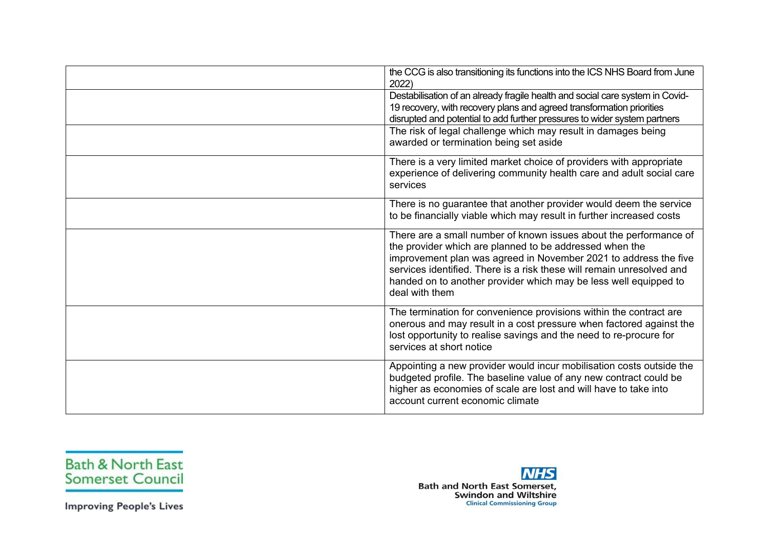| the CCG is also transitioning its functions into the ICS NHS Board from June<br>2022)                                                                                                                                                                                                                                                                           |
|-----------------------------------------------------------------------------------------------------------------------------------------------------------------------------------------------------------------------------------------------------------------------------------------------------------------------------------------------------------------|
| Destabilisation of an already fragile health and social care system in Covid-<br>19 recovery, with recovery plans and agreed transformation priorities<br>disrupted and potential to add further pressures to wider system partners                                                                                                                             |
| The risk of legal challenge which may result in damages being<br>awarded or termination being set aside                                                                                                                                                                                                                                                         |
| There is a very limited market choice of providers with appropriate<br>experience of delivering community health care and adult social care<br>services                                                                                                                                                                                                         |
| There is no guarantee that another provider would deem the service<br>to be financially viable which may result in further increased costs                                                                                                                                                                                                                      |
| There are a small number of known issues about the performance of<br>the provider which are planned to be addressed when the<br>improvement plan was agreed in November 2021 to address the five<br>services identified. There is a risk these will remain unresolved and<br>handed on to another provider which may be less well equipped to<br>deal with them |
| The termination for convenience provisions within the contract are<br>onerous and may result in a cost pressure when factored against the<br>lost opportunity to realise savings and the need to re-procure for<br>services at short notice                                                                                                                     |
| Appointing a new provider would incur mobilisation costs outside the<br>budgeted profile. The baseline value of any new contract could be<br>higher as economies of scale are lost and will have to take into<br>account current economic climate                                                                                                               |